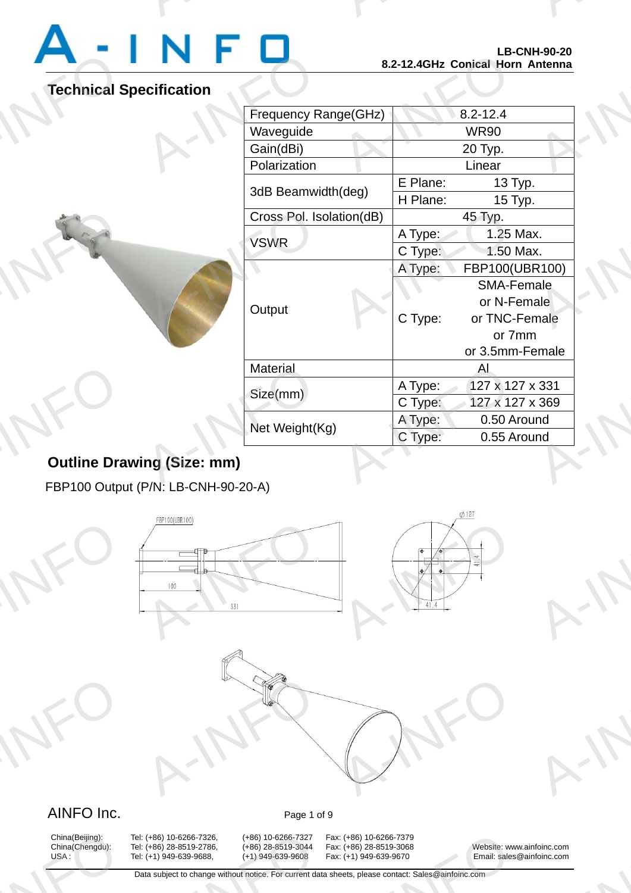# Technical S

A-INFORMATION CONTINUES.

A-INFO

A-INFO

A-INFO

A-INFORMATION CONTINUES.

## **Technical Specification**

A-INFORMATION

|                           |                          |          | LD-UNN-90-ZU<br>8.2-12.4GHz Conical Horn Antenna |  |  |
|---------------------------|--------------------------|----------|--------------------------------------------------|--|--|
| ecification               |                          |          |                                                  |  |  |
|                           | Frequency Range(GHz)     |          | $8.2 - 12.4$                                     |  |  |
|                           | Waveguide                |          | <b>WR90</b>                                      |  |  |
|                           | Gain(dBi)                |          | 20 Typ.                                          |  |  |
|                           | Polarization             |          | Linear                                           |  |  |
|                           | 3dB Beamwidth(deg)       | E Plane: | 13 Typ.                                          |  |  |
|                           |                          | H Plane: | 15 Typ.                                          |  |  |
|                           | Cross Pol. Isolation(dB) |          | 45 Typ.                                          |  |  |
|                           | <b>VSWR</b>              | A Type:  | 1.25 Max.                                        |  |  |
|                           |                          | C Type:  | 1.50 Max.                                        |  |  |
|                           |                          | A Type:  | FBP100(UBR100)                                   |  |  |
|                           |                          |          | <b>SMA-Female</b>                                |  |  |
|                           | Output                   |          | or N-Female                                      |  |  |
|                           |                          | C Type:  | or TNC-Female                                    |  |  |
|                           |                          |          | or 7mm                                           |  |  |
|                           |                          |          | or 3.5mm-Female                                  |  |  |
|                           | Material                 |          | AI                                               |  |  |
|                           | Size(mm)                 | A Type:  | 127 x 127 x 331                                  |  |  |
|                           |                          | C Type:  | 127 x 127 x 369                                  |  |  |
|                           | Net Weight(Kg)           | A Type:  | 0.50 Around                                      |  |  |
|                           |                          | C Type:  | 0.55 Around                                      |  |  |
| ng (Size: mm)             |                          |          |                                                  |  |  |
| <b>DALLO ONLLOO OO AV</b> |                          |          |                                                  |  |  |

# **Outline Drawing (Size: mm)**  Dutline Dra

FBP100 Output (P/N: LB-CNH-90-20-A)



### AINFO Inc. Page 1 of 9

China(Beijing):<br>China(Chengdu):<br>USA :

(+86) 10-6266-7326, (+86) 10-6266-7327<br>
(+86) 28-8519-2786, (+86) 28-8519-3044<br>
(+1) 949-639-9688, (+1) 949-639-9608<br>
ta subject to change without notice. For current da

China(Beijing): Tel: (+86) 10-6266-7326, (+86) 10-6266-7327 Fax: (+86) 10-6266-7379<br>China(Chengdu): Tel: (+86) 28-8519-2786, (+86) 28-8519-3044 Fax: (+86) 28-8519-3068

China(Chengdu): Tel: (+86) 28-8519-2786, (+86) 28-8519-3044 Fax: (+86) 28-8519-3068 Website: www.ainfoinc.com USA : Tel: (+1) 949-639-9688, (+1) 949-639-9608 Fax: (+1) 949-639-9670 Email: sales@ainfoinc.com Foinc.com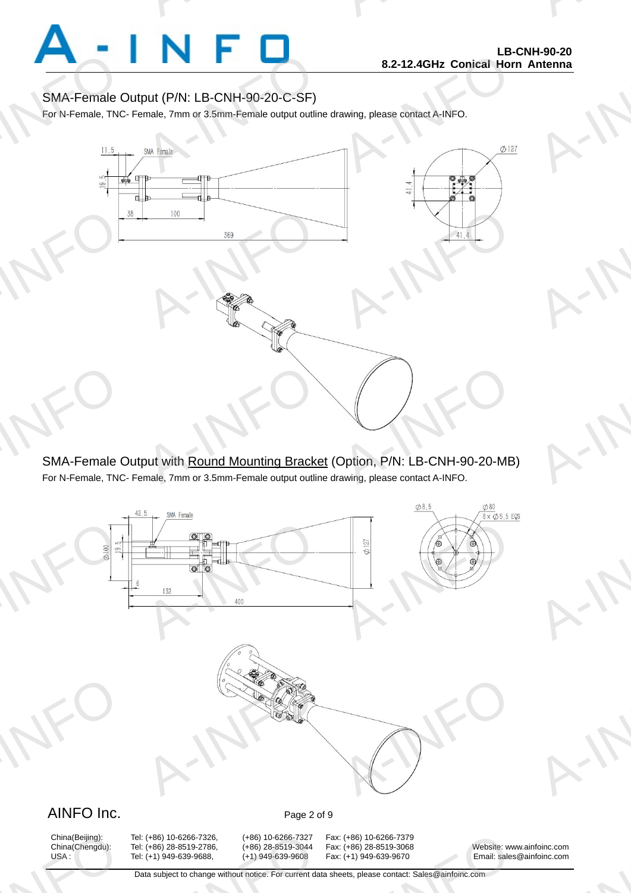

A-INFO

A-INFORMATION CONTINUES.

### SMA-Female Output (P/N: LB-CNH-90-20-C-SF)

For N-Female, TNC- Female, 7mm or 3.5mm-Female output outline drawing, please contact A-INFO.

A-INFORMATION CONTINUES.



SMA-Female Output with Round Mounting Bracket (Option, P/N: LB-CNH-90-20-MB) For N-Female, TNC- Female, 7mm or 3.5mm-Female output outline drawing, please contact A-INFO.



# China(Beijing):<br>China(Chengdu):<br>USA :

China(Beijing): Tel: (+86) 10-6266-7326, (+86) 10-6266-7327 Fax: (+86) 10-6266-7379 (+86) 10-6266-7326, (+86) 10-6266-7327<br>
(+86) 28-8519-2786, (+86) 28-8519-3044<br>
(+1) 949-639-9688, (+1) 949-639-9608<br>
ta subject to change without notice. For current da

:: (+86) 10-6266-7379<br>
:: (+86) 28-8519-3068<br>
:: (+1) 949-639-9670 Email: sales<br>
eets, please contact: Sales@ainfoinc.com

China(Chengdu): Tel: (+86) 28-8519-2786, (+86) 28-8519-3044 Fax: (+86) 28-8519-3068 Website: www.ainfoinc.com USA : Tel: (+1) 949-639-9688, (+1) 949-639-9608 Fax: (+1) 949-639-9670 Email: sales@ainfoinc.com Foinc.com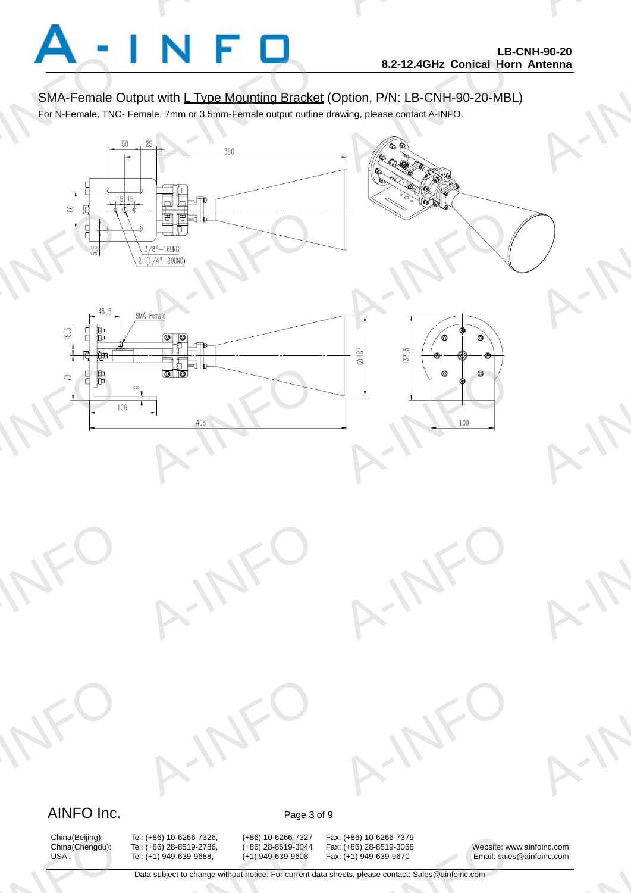

A-INFO

A-INFO

A-INFO

A-INFO

A-INFO

SMA-Female Output with L Type Mounting Bracket (Option, P/N: LB-CNH-90-20-MBL)

For N-Female, TNC- Female, 7mm or 3.5mm-Female output outline drawing, please contact A-INFO.

A-INFORMATION CONTINUES.





A-INFORMATION CONTINUES.



A-IFO

A-IFO



A-IFO

## AINFO Inc. Page 3 of 9

A-INFO

A-INFO

China(Beijing):<br>China(Chengdu):<br>USA :

(+86) 10-6266-7326, (+86) 10-6266-7327<br>
(+86) 28-8519-2786, (+86) 28-8519-3044<br>
(+1) 949-639-9688, (+1) 949-639-9608<br>
ta subject to change without notice. For current da

China(Beijing): Tel: (+86) 10-6266-7326, (+86) 10-6266-7327 Fax: (+86) 10-6266-7379<br>China(Chengdu): Tel: (+86) 28-8519-2786, (+86) 28-8519-3044 Fax: (+86) 28-8519-3068 :: (+86) 10-6266-7379<br>
:: (+86) 28-8519-3068<br>
:: (+1) 949-639-9670 Email: sales<br>
eets, please contact: Sales@ainfoinc.com

Website: www.ainfoinc.com USA : Tel: (+1) 949-639-9688, (+1) 949-639-9608 Fax: (+1) 949-639-9670 Email: sales@ainfoinc.com Foinc.com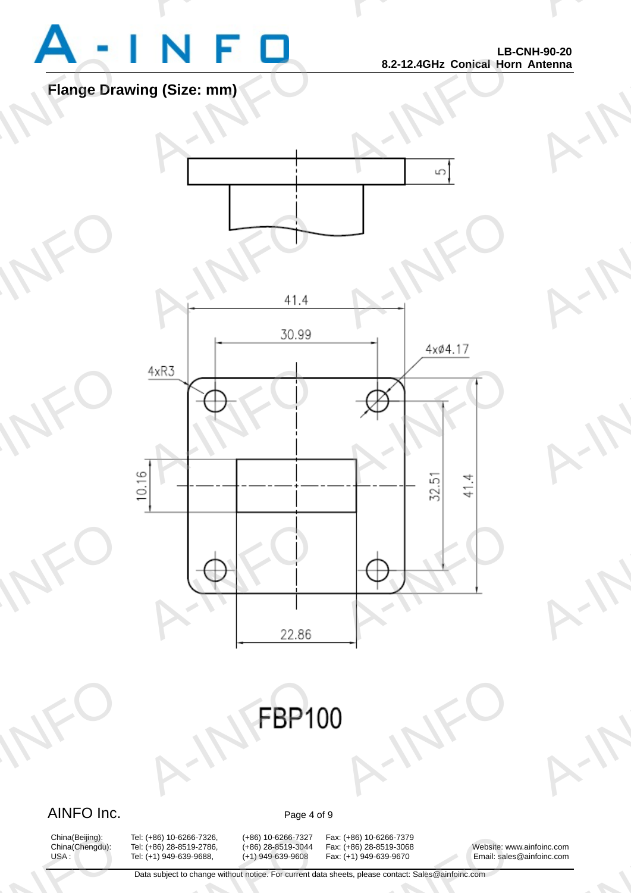

A-INFO

A-INFO

A-INFO

A-INFO

A-INFO

A-INFORMATION CONTINUES.

**Flange Drawing (Size: mm)** 



A-INFORM

# AINFO Inc. Page 4 of 9

China(Beijing):<br>China(Chengdu):<br>USA :

(+86) 10-6266-7326, (+86) 10-6266-7327<br>
(+86) 28-8519-2786, (+86) 28-8519-3044<br>
(+1) 949-639-9688, (+1) 949-639-9608<br>
ta subject to change without notice. For current da

China(Beijing): Tel: (+86) 10-6266-7326, (+86) 10-6266-7327 Fax: (+86) 10-6266-7379<br>China(Chengdu): Tel: (+86) 28-8519-2786, (+86) 28-8519-3044 Fax: (+86) 28-8519-3068

:: (+86) 10-6266-7379<br>
:: (+86) 28-8519-3068<br>
:: (+1) 949-639-9670 Email: sales<br>
eets, please contact: Sales@ainfoinc.com

Tel: (+86) 28-8519-2786, (+86) 28-8519-3044 Fax: (+86) 28-8519-3068 Website: www.ainfoinc.com<br>
Tel: (+1) 949-639-9608 Fax: (+1) 949-639-9670 Email: sales@ainfoinc.com USA : Tel: (+1) 949-639-9688, (+1) 949-639-9608 Fax: (+1) 949-639-9670 Email: sales@ainfoinc.com Foinc.com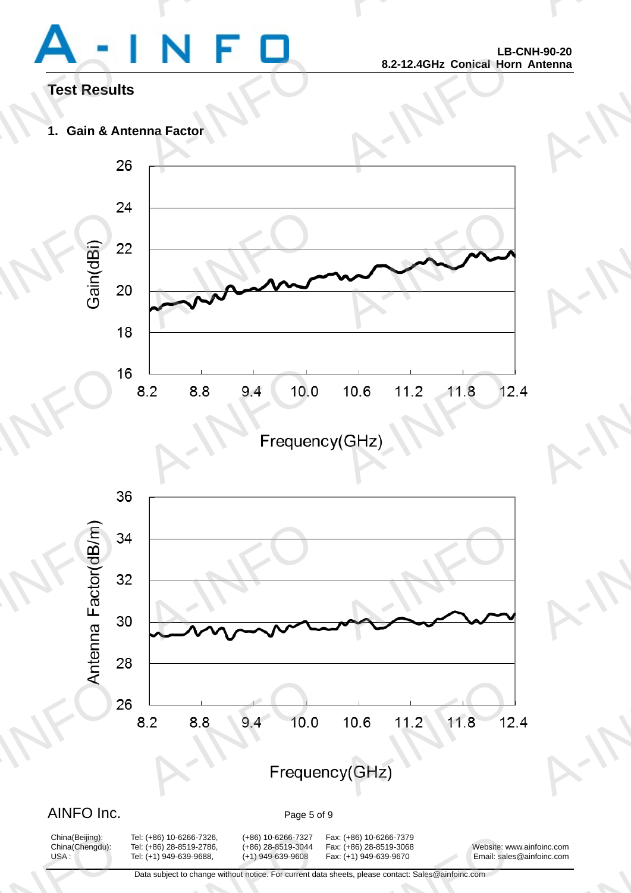# Test Result<br>1. Gain & An<br>2

A-INFORMATION CONTINUES.

A-INFO

A-INFO

A-INFO

A-INFORMATION CONTINUES.

### **Test Results**

**1. Gain & Antenna Factor** 





China(Beijing):<br>China(Chengdu):<br>USA :

(+86) 10-6266-7326, (+86) 10-6266-7327<br>
(+86) 28-8519-2786, (+86) 28-8519-3044<br>
(+1) 949-639-9688, (+1) 949-639-9608<br>
ta subject to change without notice. For current da

China(Beijing): Tel: (+86) 10-6266-7326, (+86) 10-6266-7327 Fax: (+86) 10-6266-7379

China(Chengdu): Tel: (+86) 28-8519-2786, (+86) 28-8519-3044 Fax: (+86) 28-8519-3068 Website: www.ainfoinc.com USA : Tel: (+1) 949-639-9688, (+1) 949-639-9608 Fax: (+1) 949-639-9670 Email: sales@ainfoinc.com Foinc.com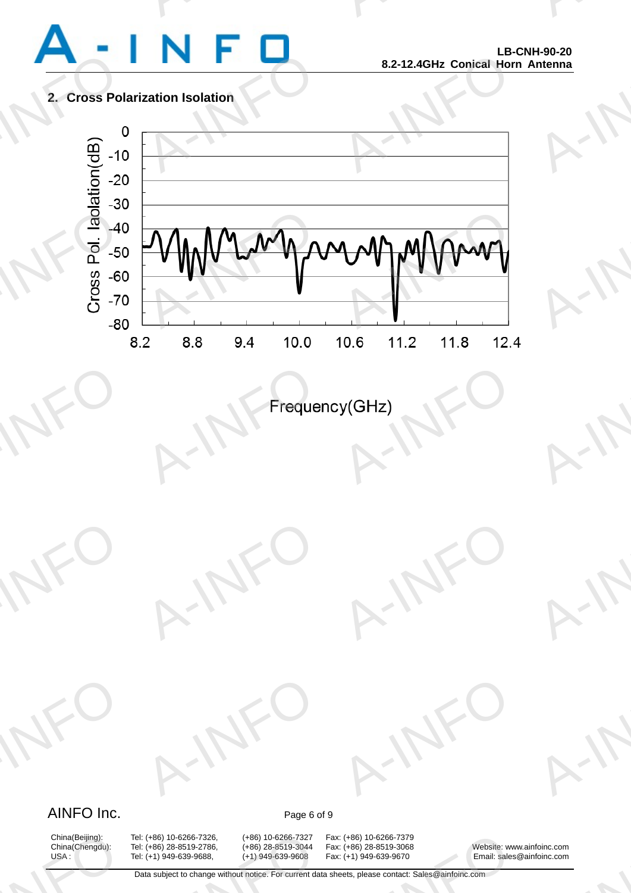

A-INFO

A-INFO

A-INFO

A-INFORMATION CONTINUES.

A-IFO

A-IFO

### **2. Cross Polarization Isolation**



A-INFFreque YIGHZ)

## AINFO Inc. Page 6 of 9

A-INFO

A-INFO

China(Beijing):<br>China(Chengdu):<br>USA :

(+86) 10-6266-7326, (+86) 10-6266-7327<br>
(+86) 28-8519-2786, (+86) 28-8519-3044<br>
(+1) 949-639-9688, (+1) 949-639-9608<br>
ta subject to change without notice. For current da

A-IFO

A-IFO

China(Beijing): Tel: (+86) 10-6266-7326, (+86) 10-6266-7327 Fax: (+86) 10-6266-7379<br>China(Chengdu): Tel: (+86) 28-8519-2786, (+86) 28-8519-3044 Fax: (+86) 28-8519-3068

China(Chengdu): Tel: (+86) 28-8519-2786, (+86) 28-8519-3044 Fax: (+86) 28-8519-3068 Website: www.ainfoinc.com USA : Tel: (+1) 949-639-9688, (+1) 949-639-9608 Fax: (+1) 949-639-9670 Email: sales@ainfoinc.com Foinc.com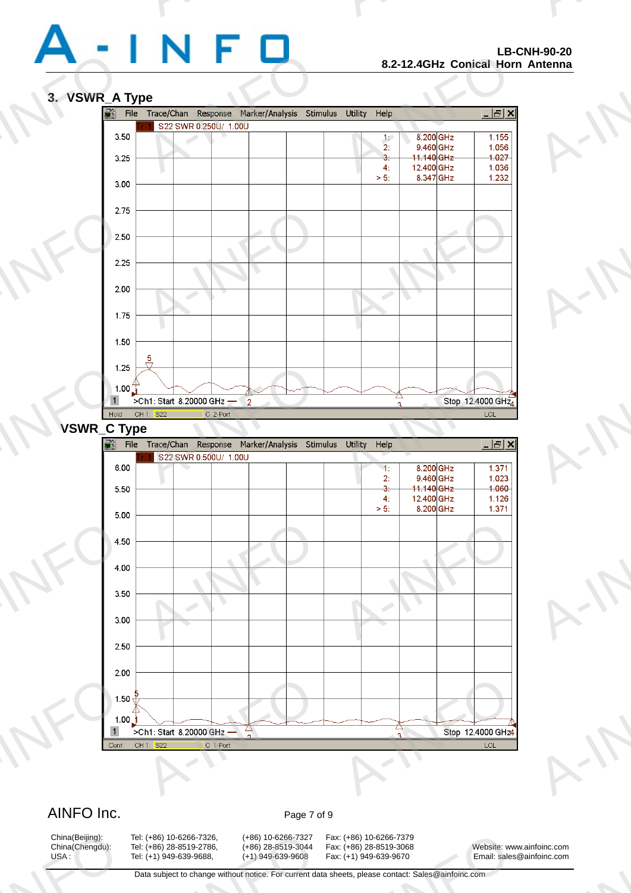A-INFO

A-INFO

A-INFO

A-INFO

A-INFO

A-INFORMATION CONTINUES.

### **3. VSWR\_A Type**



### AINFO Inc. Page 7 of 9

China(Beijing):<br>China(Chengdu):<br>USA :

China(Beijing): Tel: (+86) 10-6266-7326, (+86) 10-6266-7327 Fax: (+86) 10-6266-7379 (+86) 10-6266-7326, (+86) 10-6266-7327<br>
(+86) 28-8519-2786, (+86) 28-8519-3044<br>
(+1) 949-639-9688, (+1) 949-639-9608<br>
ta subject to change without notice. For current da

:: (+86) 10-6266-7379<br>
:: (+86) 28-8519-3068<br>
:: (+1) 949-639-9670 Email: sales<br>
eets, please contact: Sales@ainfoinc.com

China(Chengdu): Tel: (+86) 28-8519-2786, (+86) 28-8519-3044 Fax: (+86) 28-8519-3068 Website: www.ainfoinc.com USA : Tel: (+1) 949-639-9688, (+1) 949-639-9608 Fax: (+1) 949-639-9670 Email: sales@ainfoinc.com Foinc.com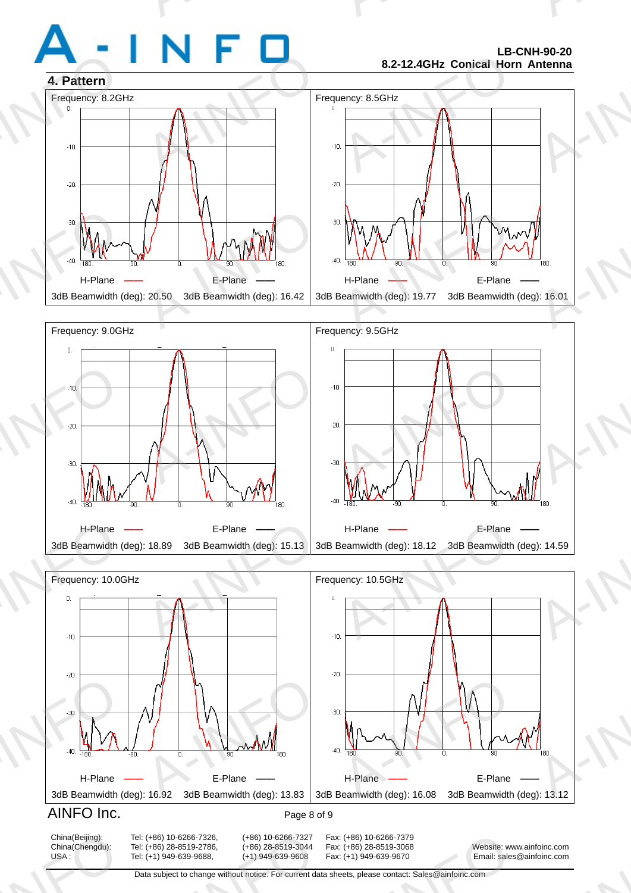### **LB-CNH-90-20 8.2-12.4GHz Conical Horn Antenna**

A-INFO

A-INFORMATION CONTINUES.







China(Beijing):<br>China(Chengdu):<br>USA :

(+86) 10-6266-7326, (+86) 10-6266-7327<br>
(+86) 28-8519-2786, (+86) 28-8519-3044<br>
(+1) 949-639-9688, (+1) 949-639-9608<br>
ta subject to change without notice. For current da

China(Beijing): Tel: (+86) 10-6266-7326, (+86) 10-6266-7327 Fax: (+86) 10-6266-7379<br>China(Chengdu): Tel: (+86) 28-8519-2786, (+86) 28-8519-3044 Fax: (+86) 28-8519-3068 :: (+86) 10-6266-7379<br>
:: (+86) 28-8519-3068<br>
:: (+1) 949-639-9670 Email: sales<br>
eets, please contact: Sales@ainfoinc.com

China(Chengdu): Tel: (+86) 28-8519-2786, (+86) 28-8519-3044 Fax: (+86) 28-8519-3068 Website: www.ainfoinc.com USA : Tel: (+1) 949-639-9688, (+1) 949-639-9608 Fax: (+1) 949-639-9670 Email: sales@ainfoinc.com Foinc.com